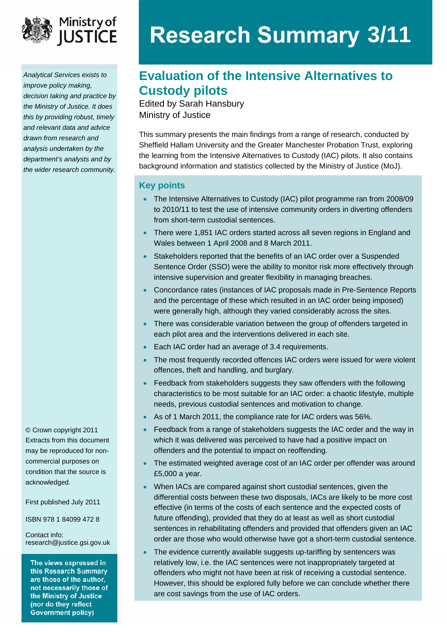

*Analytical Services exists to improve policy making, decision taking and practice by the Ministry of Justice. It does this by providing robust, timely and relevant data and advice drawn from research and analysis undertaken by the department's analysts and by the wider research community.* 

© Crown copyright 2011 Extracts from this document may be reproduced for noncommercial purposes on condition that the source is acknowledged.

First published July 2011

ISBN 978 1 84099 472 8

Contact info: [research@justice.gsi.gov.uk](mailto:research@justice.gsi.gov.uk) 

The views expressed in this Research Summary are those of the author, not necessarily those of the Ministry of Justice (nor do they reflect **Government policy)** 

# **Research Summary 3/11**

# **Evaluation of the Intensive Alternatives to Custody pilots**

Edited by Sarah Hansbury Ministry of Justice

This summary presents the main findings from a range of research, conducted by Sheffield Hallam University and the Greater Manchester Probation Trust, exploring the learning from the Intensive Alternatives to Custody (IAC) pilots. It also contains background information and statistics collected by the Ministry of Justice (MoJ).

#### **Key points**

- The Intensive Alternatives to Custody (IAC) pilot programme ran from 2008/09 to 2010/11 to test the use of intensive community orders in diverting offenders from short-term custodial sentences.
- There were 1,851 IAC orders started across all seven regions in England and Wales between 1 April 2008 and 8 March 2011.
- Stakeholders reported that the benefits of an IAC order over a Suspended Sentence Order (SSO) were the ability to monitor risk more effectively through intensive supervision and greater flexibility in managing breaches.
- Concordance rates (instances of IAC proposals made in Pre-Sentence Reports and the percentage of these which resulted in an IAC order being imposed) were generally high, although they varied considerably across the sites.
- There was considerable variation between the group of offenders targeted in each pilot area and the interventions delivered in each site.
- Each IAC order had an average of 3.4 requirements.
- The most frequently recorded offences IAC orders were issued for were violent offences, theft and handling, and burglary.
- Feedback from stakeholders suggests they saw offenders with the following characteristics to be most suitable for an IAC order: a chaotic lifestyle, multiple needs, previous custodial sentences and motivation to change.
- As of 1 March 2011, the compliance rate for IAC orders was 56%.
- Feedback from a range of stakeholders suggests the IAC order and the way in which it was delivered was perceived to have had a positive impact on offenders and the potential to impact on reoffending.
- The estimated weighted average cost of an IAC order per offender was around £5,000 a year.
- When IACs are compared against short custodial sentences, given the differential costs between these two disposals, IACs are likely to be more cost effective (in terms of the costs of each sentence and the expected costs of future offending), provided that they do at least as well as short custodial sentences in rehabilitating offenders and provided that offenders given an IAC order are those who would otherwise have got a short-term custodial sentence.
- The evidence currently available suggests up-tariffing by sentencers was relatively low, i.e. the IAC sentences were not inappropriately targeted at offenders who might not have been at risk of receiving a custodial sentence. However, this should be explored fully before we can conclude whether there are cost savings from the use of IAC orders.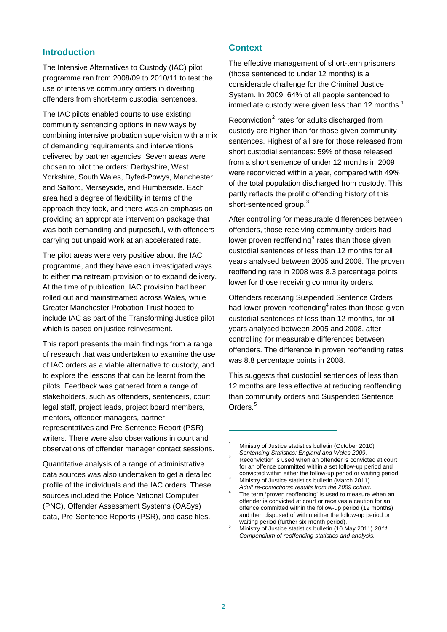# **Introduction**

The Intensive Alternatives to Custody (IAC) pilot programme ran from 2008/09 to 2010/11 to test the use of intensive community orders in diverting offenders from short-term custodial sentences.

The IAC pilots enabled courts to use existing community sentencing options in new ways by combining intensive probation supervision with a mix of demanding requirements and interventions delivered by partner agencies. Seven areas were chosen to pilot the orders: Derbyshire, West Yorkshire, South Wales, Dyfed-Powys, Manchester and Salford, Merseyside, and Humberside. Each area had a degree of flexibility in terms of the approach they took, and there was an emphasis on providing an appropriate intervention package that was both demanding and purposeful, with offenders carrying out unpaid work at an accelerated rate.

<span id="page-1-4"></span>The pilot areas were very positive about the IAC programme, and they have each investigated ways to either mainstream provision or to expand delivery. At the time of publication, IAC provision had been rolled out and mainstreamed across Wales, while Greater Manchester Probation Trust hoped to include IAC as part of the Transforming Justice pilot which is based on justice reinvestment.

This report presents the main findings from a range of research that was undertaken to examine the use of IAC orders as a viable alternative to custody, and to explore the lessons that can be learnt from the pilots. Feedback was gathered from a range of stakeholders, such as offenders, sentencers, court legal staff, project leads, project board members, mentors, offender managers, partner representatives and Pre-Sentence Report (PSR) writers. There were also observations in court and observations of offender manager contact sessions.

<span id="page-1-5"></span><span id="page-1-3"></span><span id="page-1-2"></span><span id="page-1-1"></span><span id="page-1-0"></span>Quantitative analysis of a range of administrative data sources was also undertaken to get a detailed profile of the individuals and the IAC orders. These sources included the Police National Computer (PNC), Offender Assessment Systems (OASys) data, Pre-Sentence Reports (PSR), and case files.

## **Context**

The effective management of short-term prisoners (those sentenced to under 12 months) is a considerable challenge for the Criminal Justice System. In 2009, 64% of all people sentenced to immediate custody were given less than [1](#page-1-0)2 months.<sup>1</sup>

Reconviction $2$  rates for adults discharged from custody are higher than for those given community sentences. Highest of all are for those released from short custodial sentences: 59% of those released from a short sentence of under 12 months in 2009 were reconvicted within a year, compared with 49% of the total population discharged from custody. This partly reflects the prolific offending history of this short-sentenced group.<sup>[3](#page-1-2)</sup>

After controlling for measurable differences between offenders, those receiving community orders had lower proven reoffending $4$  rates than those given custodial sentences of less than 12 months for all years analysed between 2005 and 2008. The proven reoffending rate in 2008 was 8.3 percentage points lower for those receiving community orders.

Offenders receiving Suspended Sentence Orders had lower proven reoffending $4$  rates than those given custodial sentences of less than 12 months, for all years analysed between 2005 and 2008, after controlling for measurable differences between offenders. The difference in proven reoffending rates was 8.8 percentage points in 2008.

This suggests that custodial sentences of less than 12 months are less effective at reducing reoffending than community orders and Suspended Sentence Orders.<sup>[5](#page-1-5)</sup>

 $\overline{a}$ 

<sup>1</sup> Ministry of Justice statistics bulletin (October 2010) **Sentencing Statistics: England and Wales 2009.** 

Reconviction is used when an offender is convicted at court for an offence committed within a set follow-up period and convicted within either the follow-up period or waiting period.

Ministry of Justice statistics bulletin (March 2011) *Adult re-convictions: results from the 2009 cohort.* <sup>4</sup>

The term 'proven reoffending' is used to measure when an offender is convicted at court or receives a caution for an offence committed within the follow-up period (12 months) and then disposed of within either the follow-up period or waiting period (further six-month period).

Ministry of Justice statistics bulletin (10 May 2011) *2011 Compendium of reoffending statistics and analysis.*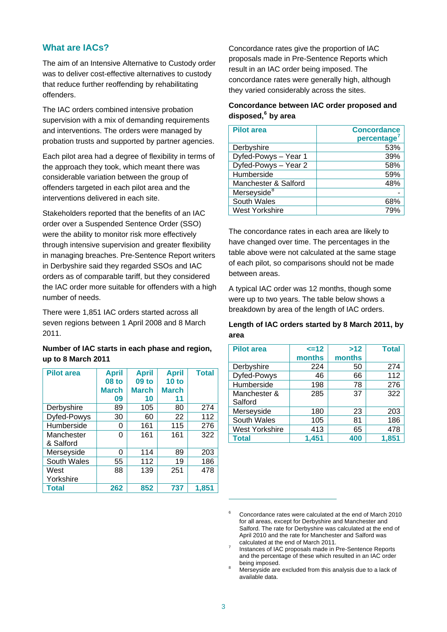# **What are IACs?**

The aim of an Intensive Alternative to Custody order was to deliver cost-effective alternatives to custody that reduce further reoffending by rehabilitating offenders.

The IAC orders combined intensive probation supervision with a mix of demanding requirements and interventions. The orders were managed by probation trusts and supported by partner agencies.

Each pilot area had a degree of flexibility in terms of the approach they took, which meant there was considerable variation between the group of offenders targeted in each pilot area and the interventions delivered in each site.

Stakeholders reported that the benefits of an IAC order over a Suspended Sentence Order (SSO) were the ability to monitor risk more effectively through intensive supervision and greater flexibility in managing breaches. Pre-Sentence Report writers in Derbyshire said they regarded SSOs and IAC orders as of comparable tariff, but they considered the IAC order more suitable for offenders with a high number of needs.

There were 1,851 IAC orders started across all seven regions between 1 April 2008 and 8 March 2011.

# **Number of IAC starts in each phase and region, up to 8 March 2011**

<span id="page-2-2"></span><span id="page-2-1"></span><span id="page-2-0"></span>

| <b>Pilot area</b> | <b>April</b> | <b>April</b> | <b>April</b> | <b>Total</b> |
|-------------------|--------------|--------------|--------------|--------------|
|                   | <b>08 to</b> | 09 to        | 10 to        |              |
|                   | <b>March</b> | <b>March</b> | <b>March</b> |              |
|                   | 09           | 10           | 11           |              |
| Derbyshire        | 89           | 105          | 80           | 274          |
| Dyfed-Powys       | 30           | 60           | 22           | 112          |
| Humberside        | 0            | 161          | 115          | 276          |
| Manchester        | 0            | 161          | 161          | 322          |
| & Salford         |              |              |              |              |
| Merseyside        | 0            | 114          | 89           | 203          |
| South Wales       | 55           | 112          | 19           | 186          |
| West              | 88           | 139          | 251          | 478          |
| Yorkshire         |              |              |              |              |
| <b>Total</b>      | 262          | 852          | 737          | 1,851        |

Concordance rates give the proportion of IAC proposals made in Pre-Sentence Reports which result in an IAC order being imposed. The concordance rates were generally high, although they varied considerably across the sites.

# **Concordance between IAC order proposed and disposed,[6](#page-2-0) by area**

| <b>Pilot area</b>       | <b>Concordance</b><br>percentage <sup>®</sup> |
|-------------------------|-----------------------------------------------|
| Derbyshire              | 53%                                           |
| Dyfed-Powys - Year 1    | 39%                                           |
| Dyfed-Powys - Year 2    | 58%                                           |
| Humberside              | 59%                                           |
| Manchester & Salford    | 48%                                           |
| Merseyside <sup>8</sup> |                                               |
| South Wales             | 68%                                           |
| <b>West Yorkshire</b>   | 79%                                           |

The concordance rates in each area are likely to have changed over time. The percentages in the table above were not calculated at the same stage of each pilot, so comparisons should not be made between areas.

A typical IAC order was 12 months, though some were up to two years. The table below shows a breakdown by area of the length of IAC orders.

## **Length of IAC orders started by 8 March 2011, by area**

| <b>Pilot area</b>     | $=12$  | >12    | <b>Total</b> |
|-----------------------|--------|--------|--------------|
|                       | months | months |              |
| Derbyshire            | 224    | 50     | 274          |
| Dyfed-Powys           | 46     | 66     | 112          |
| Humberside            | 198    | 78     | 276          |
| Manchester &          | 285    | 37     | 322          |
| Salford               |        |        |              |
| Merseyside            | 180    | 23     | 203          |
| South Wales           | 105    | 81     | 186          |
| <b>West Yorkshire</b> | 413    | 65     | 478          |
| <b>Total</b>          | 1,451  | 400    | 1,851        |

1

<sup>6</sup> Concordance rates were calculated at the end of March 2010 for all areas, except for Derbyshire and Manchester and Salford. The rate for Derbyshire was calculated at the end of April 2010 and the rate for Manchester and Salford was calculated at the end of March 2011.

Instances of IAC proposals made in Pre-Sentence Reports and the percentage of these which resulted in an IAC order being imposed. 8

Merseyside are excluded from this analysis due to a lack of available data.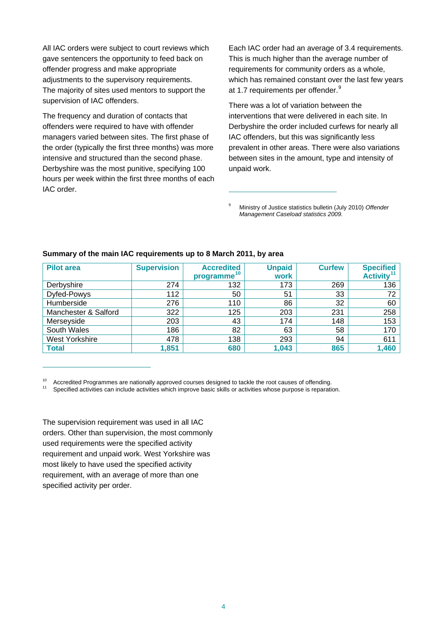All IAC orders were subject to court reviews which gave sentencers the opportunity to feed back on offender progress and make appropriate adjustments to the supervisory requirements. The majority of sites used mentors to support the supervision of IAC offenders.

The frequency and duration of contacts that offenders were required to have with offender managers varied between sites. The first phase of the order (typically the first three months) was more intensive and structured than the second phase. Derbyshire was the most punitive, specifying 100 hours per week within the first three months of each IAC order.

Each IAC order had an average of 3.4 requirements. This is much higher than the average number of requirements for community orders as a whole, which has remained constant over the last few years at 1.7 requirements per offender.<sup>[9](#page-3-0)</sup>

There was a lot of variation between the interventions that were delivered in each site. In Derbyshire the order included curfews for nearly all IAC offenders, but this was significantly less prevalent in other areas. There were also variations between sites in the amount, type and intensity of unpaid work.

9 Ministry of Justice statistics bulletin (July 2010) *Offender Management Caseload statistics 2009.*

| <b>Pilot area</b>     | <b>Supervision</b> | <b>Accredited</b><br>programme <sup>10</sup> | <b>Unpaid</b><br>work | <b>Curfew</b> | <b>Specified</b><br>Activity <sup>11</sup> |
|-----------------------|--------------------|----------------------------------------------|-----------------------|---------------|--------------------------------------------|
| Derbyshire            | 274                | 132                                          | 173                   | 269           | 136                                        |
| Dyfed-Powys           | 112                | 50                                           | 51                    | 33            | 72                                         |
| Humberside            | 276                | 110                                          | 86                    | 32            | 60                                         |
| Manchester & Salford  | 322                | 125                                          | 203                   | 231           | 258                                        |
| Merseyside            | 203                | 43                                           | 174                   | 148           | 153                                        |
| South Wales           | 186                | 82                                           | 63                    | 58            | 170                                        |
| <b>West Yorkshire</b> | 478                | 138                                          | 293                   | 94            | 611                                        |
| <b>Total</b>          | 1,851              | 680                                          | 1,043                 | 865           | 1,460                                      |

1

#### <span id="page-3-0"></span>**Summary of the main IAC requirements up to 8 March 2011, by area**

<span id="page-3-2"></span><span id="page-3-1"></span><sup>10</sup> Accredited Programmes are nationally approved courses designed to tackle the root causes of offending.<br><sup>11</sup> Specified activities can include activities which improve basic skills or activities whose purpose is repara

The supervision requirement was used in all IAC orders. Other than supervision, the most commonly used requirements were the specified activity requirement and unpaid work. West Yorkshire was most likely to have used the specified activity requirement, with an average of more than one specified activity per order.

 $\overline{a}$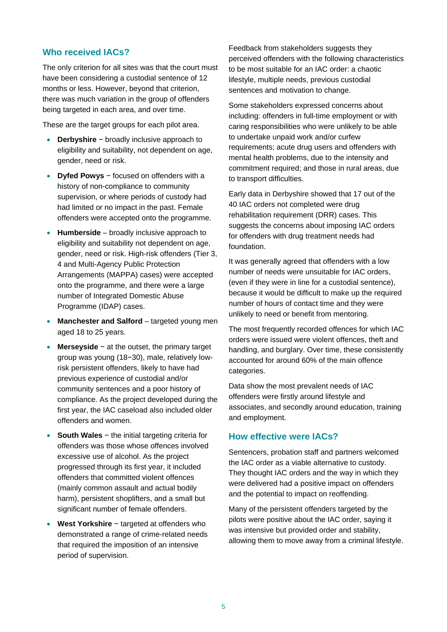# **Who received IACs?**

The only criterion for all sites was that the court must have been considering a custodial sentence of 12 months or less. However, beyond that criterion, there was much variation in the group of offenders being targeted in each area, and over time.

These are the target groups for each pilot area.

- **Derbyshire** − broadly inclusive approach to eligibility and suitability, not dependent on age, gender, need or risk.
- **Dyfed Powys** − focused on offenders with a history of non-compliance to community supervision, or where periods of custody had had limited or no impact in the past. Female offenders were accepted onto the programme.
- **Humberside** broadly inclusive approach to eligibility and suitability not dependent on age, gender, need or risk. High-risk offenders (Tier 3, 4 and Multi-Agency Public Protection Arrangements (MAPPA) cases) were accepted onto the programme, and there were a large number of Integrated Domestic Abuse Programme (IDAP) cases.
- **Manchester and Salford** targeted young men aged 18 to 25 years.
- **Merseyside** − at the outset, the primary target group was young (18−30), male, relatively lowrisk persistent offenders, likely to have had previous experience of custodial and/or community sentences and a poor history of compliance. As the project developed during the first year, the IAC caseload also included older offenders and women.
- **South Wales** − the initial targeting criteria for offenders was those whose offences involved excessive use of alcohol. As the project progressed through its first year, it included offenders that committed violent offences (mainly common assault and actual bodily harm), persistent shoplifters, and a small but significant number of female offenders.
- **West Yorkshire** − targeted at offenders who demonstrated a range of crime-related needs that required the imposition of an intensive period of supervision.

Feedback from stakeholders suggests they perceived offenders with the following characteristics to be most suitable for an IAC order: a chaotic lifestyle, multiple needs, previous custodial sentences and motivation to change.

Some stakeholders expressed concerns about including: offenders in full-time employment or with caring responsibilities who were unlikely to be able to undertake unpaid work and/or curfew requirements; acute drug users and offenders with mental health problems, due to the intensity and commitment required; and those in rural areas, due to transport difficulties.

Early data in Derbyshire showed that 17 out of the 40 IAC orders not completed were drug rehabilitation requirement (DRR) cases. This suggests the concerns about imposing IAC orders for offenders with drug treatment needs had foundation.

It was generally agreed that offenders with a low number of needs were unsuitable for IAC orders, (even if they were in line for a custodial sentence), because it would be difficult to make up the required number of hours of contact time and they were unlikely to need or benefit from mentoring.

The most frequently recorded offences for which IAC orders were issued were violent offences, theft and handling, and burglary. Over time, these consistently accounted for around 60% of the main offence categories.

Data show the most prevalent needs of IAC offenders were firstly around lifestyle and associates, and secondly around education, training and employment.

#### **How effective were IACs?**

Sentencers, probation staff and partners welcomed the IAC order as a viable alternative to custody. They thought IAC orders and the way in which they were delivered had a positive impact on offenders and the potential to impact on reoffending.

Many of the persistent offenders targeted by the pilots were positive about the IAC order, saying it was intensive but provided order and stability, allowing them to move away from a criminal lifestyle.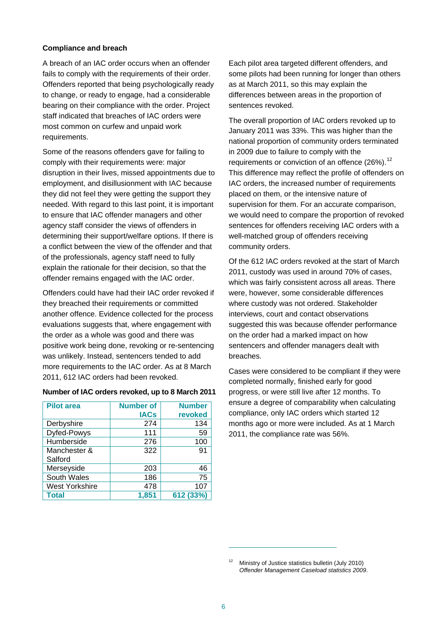#### **Compliance and breach**

A breach of an IAC order occurs when an offender fails to comply with the requirements of their order. Offenders reported that being psychologically ready to change, or ready to engage, had a considerable bearing on their compliance with the order. Project staff indicated that breaches of IAC orders were most common on curfew and unpaid work requirements.

Some of the reasons offenders gave for failing to comply with their requirements were: major disruption in their lives, missed appointments due to employment, and disillusionment with IAC because they did not feel they were getting the support they needed. With regard to this last point, it is important to ensure that IAC offender managers and other agency staff consider the views of offenders in determining their support/welfare options. If there is a conflict between the view of the offender and that of the professionals, agency staff need to fully explain the rationale for their decision, so that the offender remains engaged with the IAC order.

Offenders could have had their IAC order revoked if they breached their requirements or committed another offence. Evidence collected for the process evaluations suggests that, where engagement with the order as a whole was good and there was positive work being done, revoking or re-sentencing was unlikely. Instead, sentencers tended to add more requirements to the IAC order. As at 8 March 2011, 612 IAC orders had been revoked.

#### **Number of IAC orders revoked, up to 8 March 2011**

<span id="page-5-0"></span>

| <b>Pilot area</b>     | <b>Number of</b> | <b>Number</b> |  |
|-----------------------|------------------|---------------|--|
|                       | <b>IACs</b>      | revoked       |  |
| Derbyshire            | 274              | 134           |  |
| Dyfed-Powys           | 111              | 59            |  |
| Humberside            | 276              | 100           |  |
| Manchester &          | 322              | 91            |  |
| Salford               |                  |               |  |
| Merseyside            | 203              | 46            |  |
| South Wales           | 186              | 75            |  |
| <b>West Yorkshire</b> | 478              | 107           |  |
| <b>Total</b>          | 1,851            | 612 (33%)     |  |

Each pilot area targeted different offenders, and some pilots had been running for longer than others as at March 2011, so this may explain the differences between areas in the proportion of sentences revoked.

The overall proportion of IAC orders revoked up to January 2011 was 33%. This was higher than the national proportion of community orders terminated in 2009 due to failure to comply with the requirements or conviction of an offence  $(26\%)$ .<sup>[12](#page-5-0)</sup> This difference may reflect the profile of offenders on IAC orders, the increased number of requirements placed on them, or the intensive nature of supervision for them. For an accurate comparison, we would need to compare the proportion of revoked sentences for offenders receiving IAC orders with a well-matched group of offenders receiving community orders.

Of the 612 IAC orders revoked at the start of March 2011, custody was used in around 70% of cases, which was fairly consistent across all areas. There were, however, some considerable differences where custody was not ordered. Stakeholder interviews, court and contact observations suggested this was because offender performance on the order had a marked impact on how sentencers and offender managers dealt with breaches.

Cases were considered to be compliant if they were completed normally, finished early for good progress, or were still live after 12 months. To ensure a degree of comparability when calculating compliance, only IAC orders which started 12 months ago or more were included. As at 1 March 2011, the compliance rate was 56%.

1

Ministry of Justice statistics bulletin (July 2010) *Offender Management Caseload statistics 2009*.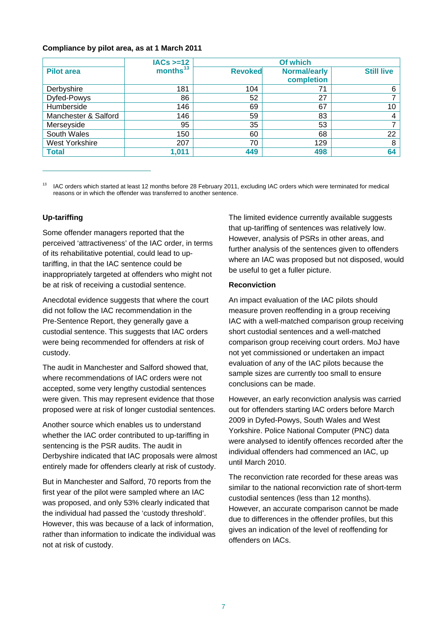#### **Compliance by pilot area, as at 1 March 2011**

|                      | $IACS >= 12$         | Of which       |                                   |                   |
|----------------------|----------------------|----------------|-----------------------------------|-------------------|
| <b>Pilot area</b>    | months <sup>13</sup> | <b>Revoked</b> | <b>Normal/early</b><br>completion | <b>Still live</b> |
| Derbyshire           | 181                  | 104            | 71                                | 6                 |
| Dyfed-Powys          | 86                   | 52             | 27                                | 7                 |
| Humberside           | 146                  | 69             | 67                                | 10                |
| Manchester & Salford | 146                  | 59             | 83                                | 4                 |
| Merseyside           | 95                   | 35             | 53                                |                   |
| South Wales          | 150                  | 60             | 68                                | 22                |
| West Yorkshire       | 207                  | 70             | 129                               | 8                 |
| <b>Total</b>         | 1,011                | 449            | 498                               | 64                |

<span id="page-6-0"></span><sup>13</sup> IAC orders which started at least 12 months before 28 February 2011, excluding IAC orders which were terminated for medical reasons or in which the offender was transferred to another sentence.

#### **Up-tariffing**

 $\overline{a}$ 

Some offender managers reported that the perceived 'attractiveness' of the IAC order, in terms of its rehabilitative potential, could lead to uptariffing, in that the IAC sentence could be inappropriately targeted at offenders who might not be at risk of receiving a custodial sentence.

Anecdotal evidence suggests that where the court did not follow the IAC recommendation in the Pre-Sentence Report, they generally gave a custodial sentence. This suggests that IAC orders were being recommended for offenders at risk of custody.

The audit in Manchester and Salford showed that, where recommendations of IAC orders were not accepted, some very lengthy custodial sentences were given. This may represent evidence that those proposed were at risk of longer custodial sentences.

Another source which enables us to understand whether the IAC order contributed to up-tariffing in sentencing is the PSR audits. The audit in Derbyshire indicated that IAC proposals were almost entirely made for offenders clearly at risk of custody.

But in Manchester and Salford, 70 reports from the first year of the pilot were sampled where an IAC was proposed, and only 53% clearly indicated that the individual had passed the 'custody threshold'. However, this was because of a lack of information, rather than information to indicate the individual was not at risk of custody.

The limited evidence currently available suggests that up-tariffing of sentences was relatively low. However, analysis of PSRs in other areas, and further analysis of the sentences given to offenders where an IAC was proposed but not disposed, would be useful to get a fuller picture.

#### **Reconviction**

An impact evaluation of the IAC pilots should measure proven reoffending in a group receiving IAC with a well-matched comparison group receiving short custodial sentences and a well-matched comparison group receiving court orders. MoJ have not yet commissioned or undertaken an impact evaluation of any of the IAC pilots because the sample sizes are currently too small to ensure conclusions can be made.

However, an early reconviction analysis was carried out for offenders starting IAC orders before March 2009 in Dyfed-Powys, South Wales and West Yorkshire. Police National Computer (PNC) data were analysed to identify offences recorded after the individual offenders had commenced an IAC, up until March 2010.

The reconviction rate recorded for these areas was similar to the national reconviction rate of short-term custodial sentences (less than 12 months). However, an accurate comparison cannot be made due to differences in the offender profiles, but this gives an indication of the level of reoffending for offenders on IACs.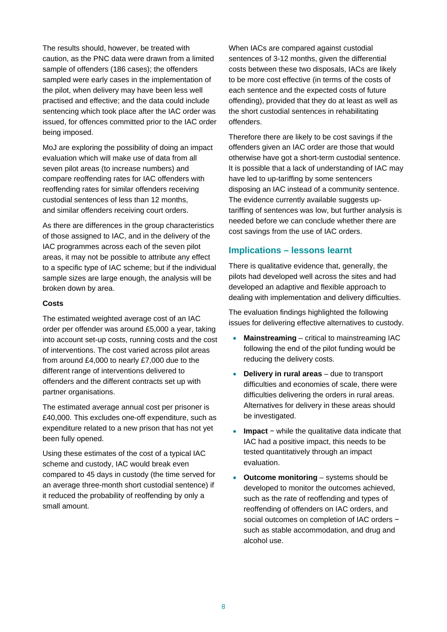The results should, however, be treated with caution, as the PNC data were drawn from a limited sample of offenders (186 cases); the offenders sampled were early cases in the implementation of the pilot, when delivery may have been less well practised and effective; and the data could include sentencing which took place after the IAC order was issued, for offences committed prior to the IAC order being imposed.

MoJ are exploring the possibility of doing an impact evaluation which will make use of data from all seven pilot areas (to increase numbers) and compare reoffending rates for IAC offenders with reoffending rates for similar offenders receiving custodial sentences of less than 12 months, and similar offenders receiving court orders.

As there are differences in the group characteristics of those assigned to IAC, and in the delivery of the IAC programmes across each of the seven pilot areas, it may not be possible to attribute any effect to a specific type of IAC scheme; but if the individual sample sizes are large enough, the analysis will be broken down by area.

#### **Costs**

The estimated weighted average cost of an IAC order per offender was around £5,000 a year, taking into account set-up costs, running costs and the cost of interventions. The cost varied across pilot areas from around £4,000 to nearly £7,000 due to the different range of interventions delivered to offenders and the different contracts set up with partner organisations.

The estimated average annual cost per prisoner is £40,000. This excludes one-off expenditure, such as expenditure related to a new prison that has not yet been fully opened.

Using these estimates of the cost of a typical IAC scheme and custody, IAC would break even compared to 45 days in custody (the time served for an average three-month short custodial sentence) if it reduced the probability of reoffending by only a small amount.

When IACs are compared against custodial sentences of 3-12 months, given the differential costs between these two disposals, IACs are likely to be more cost effective (in terms of the costs of each sentence and the expected costs of future offending), provided that they do at least as well as the short custodial sentences in rehabilitating offenders.

Therefore there are likely to be cost savings if the offenders given an IAC order are those that would otherwise have got a short-term custodial sentence. It is possible that a lack of understanding of IAC may have led to up-tariffing by some sentencers disposing an IAC instead of a community sentence. The evidence currently available suggests uptariffing of sentences was low, but further analysis is needed before we can conclude whether there are cost savings from the use of IAC orders.

# **Implications – lessons learnt**

There is qualitative evidence that, generally, the pilots had developed well across the sites and had developed an adaptive and flexible approach to dealing with implementation and delivery difficulties.

The evaluation findings highlighted the following issues for delivering effective alternatives to custody.

- **Mainstreaming** critical to mainstreaming IAC following the end of the pilot funding would be reducing the delivery costs.
- **Delivery in rural areas** due to transport difficulties and economies of scale, there were difficulties delivering the orders in rural areas. Alternatives for delivery in these areas should be investigated.
- **Impact** − while the qualitative data indicate that IAC had a positive impact, this needs to be tested quantitatively through an impact evaluation.
- **Outcome monitoring** systems should be developed to monitor the outcomes achieved, such as the rate of reoffending and types of reoffending of offenders on IAC orders, and social outcomes on completion of IAC orders − such as stable accommodation, and drug and alcohol use.